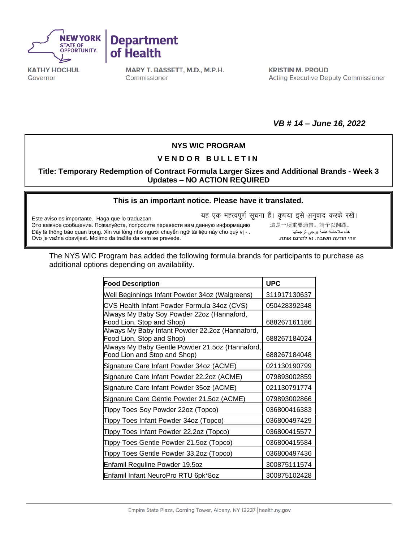



**KATHY HOCHUL** Governor

MARY T. BASSETT, M.D., M.P.H. Commissioner

**KRISTIN M. PROUD Acting Executive Deputy Commissioner** 

*VB # 14 – June 16, 2022*

## **NYS WIC PROGRAM**

## **V E N D O R B U L L E T I N**

**Title: Temporary Redemption of Contract Formula Larger Sizes and Additional Brands - Week 3 Updates – NO ACTION REQUIRED**

## **[This is an important notice. Please have it translated.](https://nysemail-my.sharepoint.com/personal/kierian_cochran_health_ny_gov/Documents/Downloads/ExportToExcel1116675%20-%202022-05-10T080246.734.xls?web=1)**

Este aviso es importante. Haga que lo traduzcan. Это важное сообщение. Пожалуйста, попросите перевести вам данную информацию 這是一項重要通告。請予以翻譯。 Đây là thông báo quan trọng. Xin vui lòng nhờ người chuyển ngữ tài liệu này cho quý vị · . Ovo je važna obavijest. Molimo da tražite da vam se prevede..אותה לתרגם נא .חשובה הודעה זוהי

यह एक महत्वपूर्ण सूचना है। कृपया इसे अनुवाद करके रखें।

The NYS WIC Program has added the following formula brands for participants to purchase as additional options depending on availability.

| <b>Food Description</b>                                                         | <b>UPC</b>   |
|---------------------------------------------------------------------------------|--------------|
| Well Beginnings Infant Powder 34oz (Walgreens)                                  | 311917130637 |
| CVS Health Infant Powder Formula 34oz (CVS)                                     | 050428392348 |
| Always My Baby Soy Powder 22oz (Hannaford,<br>Food Lion, Stop and Shop)         | 688267161186 |
| Always My Baby Infant Powder 22.2oz (Hannaford,<br>Food Lion, Stop and Shop)    | 688267184024 |
| Always My Baby Gentle Powder 21.5oz (Hannaford,<br>Food Lion and Stop and Shop) | 688267184048 |
| Signature Care Infant Powder 34oz (ACME)                                        | 021130190799 |
| Signature Care Infant Powder 22.2oz (ACME)                                      | 079893002859 |
| Signature Care Infant Powder 35oz (ACME)                                        | 021130791774 |
| Signature Care Gentle Powder 21.5oz (ACME)                                      | 079893002866 |
| Tippy Toes Soy Powder 22oz (Topco)                                              | 036800416383 |
| Tippy Toes Infant Powder 34oz (Topco)                                           | 036800497429 |
| Tippy Toes Infant Powder 22.2oz (Topco)                                         | 036800415577 |
| Tippy Toes Gentle Powder 21.5oz (Topco)                                         | 036800415584 |
| Tippy Toes Gentle Powder 33.2oz (Topco)                                         | 036800497436 |
| Enfamil Reguline Powder 19.5oz                                                  | 300875111574 |
| Enfamil Infant NeuroPro RTU 6pk*8oz                                             | 300875102428 |